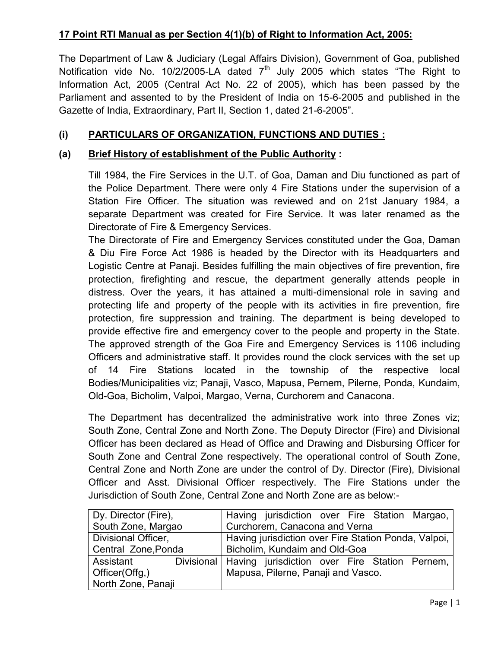# **17 Point RTI Manual as per Section 4(1)(b) of Right to Information Act, 2005:**

The Department of Law & Judiciary (Legal Affairs Division), Government of Goa, published Notification vide No. 10/2/2005-LA dated  $7<sup>th</sup>$  July 2005 which states "The Right to Information Act, 2005 (Central Act No. 22 of 2005), which has been passed by the Parliament and assented to by the President of India on 15-6-2005 and published in the Gazette of India, Extraordinary, Part II, Section 1, dated 21-6-2005".

# **(i) PARTICULARS OF ORGANIZATION, FUNCTIONS AND DUTIES :**

# **(a) Brief History of establishment of the Public Authority :**

Till 1984, the Fire Services in the U.T. of Goa, Daman and Diu functioned as part of the Police Department. There were only 4 Fire Stations under the supervision of a Station Fire Officer. The situation was reviewed and on 21st January 1984, a separate Department was created for Fire Service. It was later renamed as the Directorate of Fire & Emergency Services.

The Directorate of Fire and Emergency Services constituted under the Goa, Daman & Diu Fire Force Act 1986 is headed by the Director with its Headquarters and Logistic Centre at Panaji. Besides fulfilling the main objectives of fire prevention, fire protection, firefighting and rescue, the department generally attends people in distress. Over the years, it has attained a multi-dimensional role in saving and protecting life and property of the people with its activities in fire prevention, fire protection, fire suppression and training. The department is being developed to provide effective fire and emergency cover to the people and property in the State. The approved strength of the Goa Fire and Emergency Services is 1106 including Officers and administrative staff. It provides round the clock services with the set up of 14 Fire Stations located in the township of the respective local Bodies/Municipalities viz; Panaji, Vasco, Mapusa, Pernem, Pilerne, Ponda, Kundaim, Old-Goa, Bicholim, Valpoi, Margao, Verna, Curchorem and Canacona.

The Department has decentralized the administrative work into three Zones viz; South Zone, Central Zone and North Zone. The Deputy Director (Fire) and Divisional Officer has been declared as Head of Office and Drawing and Disbursing Officer for South Zone and Central Zone respectively. The operational control of South Zone, Central Zone and North Zone are under the control of Dy. Director (Fire), Divisional Officer and Asst. Divisional Officer respectively. The Fire Stations under the Jurisdiction of South Zone, Central Zone and North Zone are as below:-

| Dy. Director (Fire), |                                                      |                                    | Having jurisdiction over Fire Station Margao,              |  |  |  |  |
|----------------------|------------------------------------------------------|------------------------------------|------------------------------------------------------------|--|--|--|--|
| South Zone, Margao   | Curchorem, Canacona and Verna                        |                                    |                                                            |  |  |  |  |
| Divisional Officer,  | Having jurisdiction over Fire Station Ponda, Valpoi, |                                    |                                                            |  |  |  |  |
| Central Zone, Ponda  |                                                      | Bicholim, Kundaim and Old-Goa      |                                                            |  |  |  |  |
| Assistant            |                                                      |                                    | Divisional   Having jurisdiction over Fire Station Pernem, |  |  |  |  |
| Officer(Offg,)       |                                                      | Mapusa, Pilerne, Panaji and Vasco. |                                                            |  |  |  |  |
| North Zone, Panaji   |                                                      |                                    |                                                            |  |  |  |  |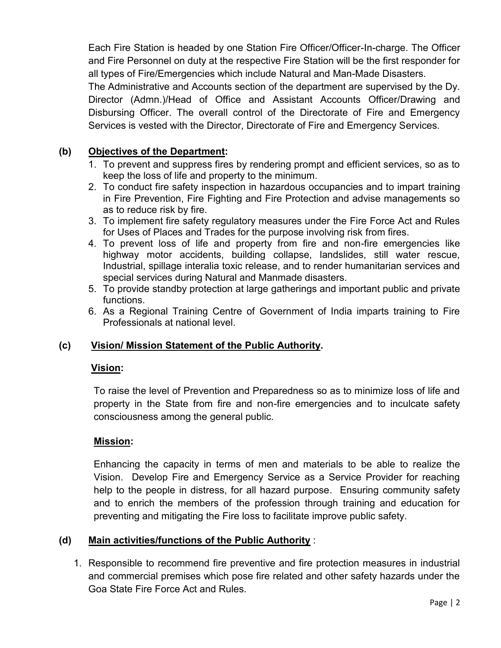Each Fire Station is headed by one Station Fire Officer/Officer-In-charge. The Officer and Fire Personnel on duty at the respective Fire Station will be the first responder for all types of Fire/Emergencies which include Natural and Man-Made Disasters.

The Administrative and Accounts section of the department are supervised by the Dy. Director (Admn.)/Head of Office and Assistant Accounts Officer/Drawing and Disbursing Officer. The overall control of the Directorate of Fire and Emergency Services is vested with the Director, Directorate of Fire and Emergency Services.

# **(b) Objectives of the Department:**

- 1. To prevent and suppress fires by rendering prompt and efficient services, so as to keep the loss of life and property to the minimum.
- 2. To conduct fire safety inspection in hazardous occupancies and to impart training in Fire Prevention, Fire Fighting and Fire Protection and advise managements so as to reduce risk by fire.
- 3. To implement fire safety regulatory measures under the Fire Force Act and Rules for Uses of Places and Trades for the purpose involving risk from fires.
- 4. To prevent loss of life and property from fire and non-fire emergencies like highway motor accidents, building collapse, landslides, still water rescue, Industrial, spillage interalia toxic release, and to render humanitarian services and special services during Natural and Manmade disasters.
- 5. To provide standby protection at large gatherings and important public and private functions.
- 6. As a Regional Training Centre of Government of India imparts training to Fire Professionals at national level.

# **(c) Vision/ Mission Statement of the Public Authority.**

# **Vision:**

To raise the level of Prevention and Preparedness so as to minimize loss of life and property in the State from fire and non-fire emergencies and to inculcate safety consciousness among the general public.

# **Mission:**

Enhancing the capacity in terms of men and materials to be able to realize the Vision. Develop Fire and Emergency Service as a Service Provider for reaching help to the people in distress, for all hazard purpose. Ensuring community safety and to enrich the members of the profession through training and education for preventing and mitigating the Fire loss to facilitate improve public safety.

# **(d) Main activities/functions of the Public Authority** :

1. Responsible to recommend fire preventive and fire protection measures in industrial and commercial premises which pose fire related and other safety hazards under the Goa State Fire Force Act and Rules.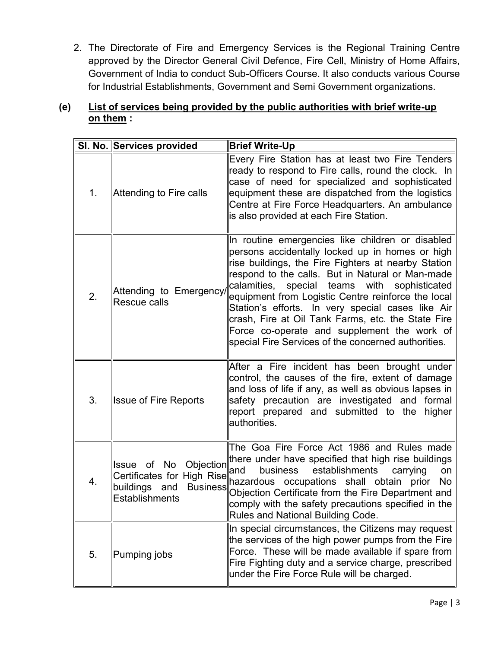2. The Directorate of Fire and Emergency Services is the Regional Training Centre approved by the Director General Civil Defence, Fire Cell, Ministry of Home Affairs, Government of India to conduct Sub-Officers Course. It also conducts various Course for Industrial Establishments, Government and Semi Government organizations.

# **(e) List of services being provided by the public authorities with brief write-up on them :**

|    | SI. No. Services provided                                 | <b>Brief Write-Up</b>                                                                                                                                                                                                                                                                                                                                                                                                                                                                                                                    |
|----|-----------------------------------------------------------|------------------------------------------------------------------------------------------------------------------------------------------------------------------------------------------------------------------------------------------------------------------------------------------------------------------------------------------------------------------------------------------------------------------------------------------------------------------------------------------------------------------------------------------|
| 1. | Attending to Fire calls                                   | Every Fire Station has at least two Fire Tenders<br>ready to respond to Fire calls, round the clock. In<br>case of need for specialized and sophisticated<br>equipment these are dispatched from the logistics<br>Centre at Fire Force Headquarters. An ambulance<br>is also provided at each Fire Station.                                                                                                                                                                                                                              |
| 2. | Attending to Emergency/<br>Rescue calls                   | In routine emergencies like children or disabled<br>persons accidentally locked up in homes or high<br>rise buildings, the Fire Fighters at nearby Station<br>respond to the calls. But in Natural or Man-made<br>calamities, special teams with<br>sophisticated<br>equipment from Logistic Centre reinforce the local<br>Station's efforts. In very special cases like Air<br>crash, Fire at Oil Tank Farms, etc. the State Fire<br>Force co-operate and supplement the work of<br>special Fire Services of the concerned authorities. |
| 3. | <b>Issue of Fire Reports</b>                              | After a Fire incident has been brought under<br>control, the causes of the fire, extent of damage<br>and loss of life if any, as well as obvious lapses in<br>safety precaution are investigated and formal<br>report prepared and submitted to the higher<br>authorities.                                                                                                                                                                                                                                                               |
| 4. | buildings and<br><b>Business</b><br><b>Establishments</b> | The Goa Fire Force Act 1986 and Rules made<br>Issue of No Objection there under have specified that high rise buildings<br>and<br>business<br>establishments<br>carrying<br>on<br>Certificates for High Rise and Discount of the Certificates for High Rise and Discount of the Contract of<br>No  <br>Objection Certificate from the Fire Department and<br>comply with the safety precautions specified in the $\parallel$<br>Rules and National Building Code.                                                                        |
| 5. | Pumping jobs                                              | In special circumstances, the Citizens may request<br>the services of the high power pumps from the Fire<br>Force. These will be made available if spare from<br>Fire Fighting duty and a service charge, prescribed<br>under the Fire Force Rule will be charged.                                                                                                                                                                                                                                                                       |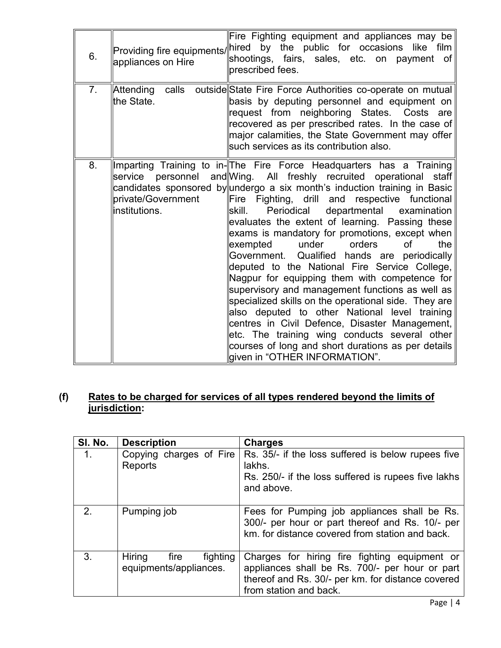| 6. | appliances on Hire                   | Fire Fighting equipment and appliances may be<br>Providing fire equipments/ hired by the public for occasions like film<br>shootings, fairs, sales, etc. on payment of<br>brescribed fees.                                                                                                                                                                                                                                                                                                                                                                                                                                                                                                                                                                                                                                                                                                                                                                                              |
|----|--------------------------------------|-----------------------------------------------------------------------------------------------------------------------------------------------------------------------------------------------------------------------------------------------------------------------------------------------------------------------------------------------------------------------------------------------------------------------------------------------------------------------------------------------------------------------------------------------------------------------------------------------------------------------------------------------------------------------------------------------------------------------------------------------------------------------------------------------------------------------------------------------------------------------------------------------------------------------------------------------------------------------------------------|
| 7. | Attending<br>calls<br>the State.     | outside State Fire Force Authorities co-operate on mutual<br>basis by deputing personnel and equipment on<br>request from neighboring States. Costs are<br>recovered as per prescribed rates. In the case of<br>major calamities, the State Government may offer<br>such services as its contribution also.                                                                                                                                                                                                                                                                                                                                                                                                                                                                                                                                                                                                                                                                             |
| 8. | private/Government<br>linstitutions. | Imparting Training to in- The Fire Force Headquarters has a Training<br>service personnel and Wing. All freshly recruited operational staff<br>candidates sponsored by undergo a six month's induction training in Basic<br>Fire Fighting, drill and respective functional<br>departmental examination<br>skill.<br>Periodical<br>evaluates the extent of learning. Passing these<br>exams is mandatory for promotions, except when<br>of<br>the<br>exempted<br>under<br>orders<br>Government. Qualified hands are periodically<br>deputed to the National Fire Service College,<br>Nagpur for equipping them with competence for<br>supervisory and management functions as well as<br>specialized skills on the operational side. They are<br>also deputed to other National level training<br>centres in Civil Defence, Disaster Management,<br>etc. The training wing conducts several other<br>courses of long and short durations as per details<br>given in "OTHER INFORMATION". |

### **(f) Rates to be charged for services of all types rendered beyond the limits of jurisdiction:**

| SI. No.        | <b>Description</b>                                   | <b>Charges</b>                                                                                                                                                                 |
|----------------|------------------------------------------------------|--------------------------------------------------------------------------------------------------------------------------------------------------------------------------------|
| $\mathbf{1}$ . | Copying charges of Fire<br>Reports                   | Rs. 35/- if the loss suffered is below rupees five<br>lakhs.<br>Rs. 250/- if the loss suffered is rupees five lakhs<br>and above.                                              |
| 2.             | Pumping job                                          | Fees for Pumping job appliances shall be Rs.<br>300/- per hour or part thereof and Rs. 10/- per<br>km, for distance covered from station and back.                             |
| 3.             | Hiring<br>fighting<br>fire<br>equipments/appliances. | Charges for hiring fire fighting equipment or<br>appliances shall be Rs. 700/- per hour or part<br>thereof and Rs. 30/- per km. for distance covered<br>from station and back. |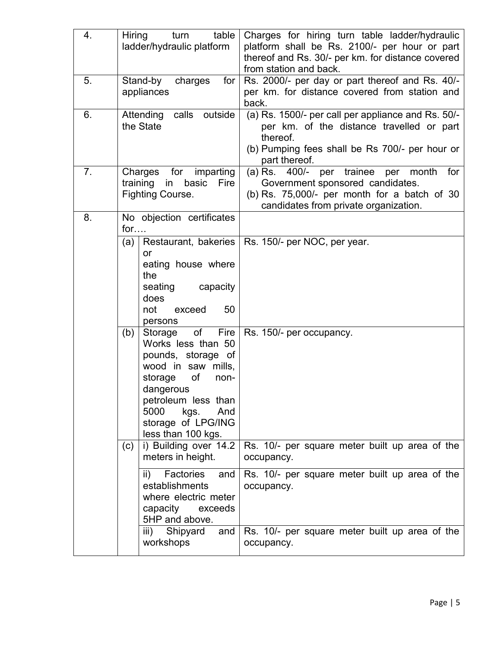| 4. | table<br>Hiring<br>turn<br>ladder/hydraulic platform                                                                                                                                                                                                                                                                                           | Charges for hiring turn table ladder/hydraulic<br>platform shall be Rs. 2100/- per hour or part<br>thereof and Rs. 30/- per km. for distance covered<br>from station and back.       |
|----|------------------------------------------------------------------------------------------------------------------------------------------------------------------------------------------------------------------------------------------------------------------------------------------------------------------------------------------------|--------------------------------------------------------------------------------------------------------------------------------------------------------------------------------------|
| 5. | Stand-by<br>charges<br>for<br>appliances                                                                                                                                                                                                                                                                                                       | Rs. 2000/- per day or part thereof and Rs. 40/-<br>per km. for distance covered from station and<br>back.                                                                            |
| 6. | outside<br>Attending<br>calls<br>the State                                                                                                                                                                                                                                                                                                     | (a) Rs. 1500/- per call per appliance and Rs. 50/-<br>per km. of the distance travelled or part<br>thereof.<br>(b) Pumping fees shall be Rs 700/- per hour or<br>part thereof.       |
| 7. | for imparting<br>Charges<br>basic<br>Fire<br>training<br>in<br><b>Fighting Course.</b>                                                                                                                                                                                                                                                         | $(a)$ Rs. $400/-$ per trainee<br>month<br>per<br>for<br>Government sponsored candidates.<br>(b) Rs. $75,000/$ - per month for a batch of 30<br>candidates from private organization. |
| 8. | No objection certificates<br>for                                                                                                                                                                                                                                                                                                               |                                                                                                                                                                                      |
|    | Restaurant, bakeries<br>(a)<br>or<br>eating house where<br>the<br>seating<br>capacity<br>does<br>not<br>50<br>exceed<br>persons<br>of<br>Fire<br>(b)<br>Storage<br>Works less than 50<br>pounds, storage of<br>wood in saw<br>mills,<br>of<br>storage<br>non-<br>dangerous<br>petroleum less than<br>5000<br>kgs.<br>And<br>storage of LPG/ING | Rs. 150/- per NOC, per year.<br>Rs. 150/- per occupancy.                                                                                                                             |
|    | less than 100 kgs.<br>i) Building over 14.2<br>(c)<br>meters in height.                                                                                                                                                                                                                                                                        | Rs. 10/- per square meter built up area of the<br>occupancy.                                                                                                                         |
|    | ii) Factories<br>and<br>establishments<br>where electric meter<br>capacity exceeds<br>5HP and above.                                                                                                                                                                                                                                           | Rs. 10/- per square meter built up area of the<br>occupancy.                                                                                                                         |
|    | iii) Shipyard<br>and<br>workshops                                                                                                                                                                                                                                                                                                              | Rs. 10/- per square meter built up area of the<br>occupancy.                                                                                                                         |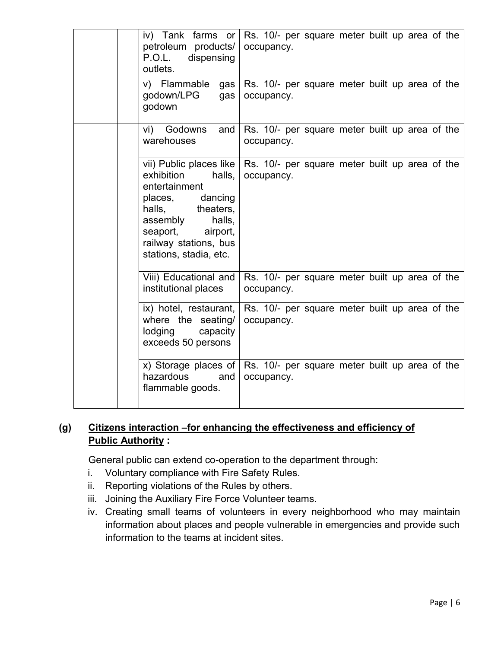| iv) Tank farms or<br>petroleum products/<br>P.O.L.<br>dispensing<br>outlets.                                                                                                         | Rs. 10/- per square meter built up area of the<br>occupancy.                                 |
|--------------------------------------------------------------------------------------------------------------------------------------------------------------------------------------|----------------------------------------------------------------------------------------------|
| v) Flammable<br>gas<br>godown/LPG<br>gas<br>godown                                                                                                                                   | Rs. 10/- per square meter built up area of the<br>occupancy.                                 |
| vi)<br>Godowns<br>and<br>warehouses                                                                                                                                                  | Rs. 10/- per square meter built up area of the<br>occupancy.                                 |
| exhibition<br>halls, $ $<br>entertainment<br>places, dancing<br>halls,<br>theaters,<br>assembly<br>halls,<br>seaport,<br>airport,<br>railway stations, bus<br>stations, stadia, etc. | vii) Public places like $\vert$ Rs. 10/- per square meter built up area of the<br>occupancy. |
| Viii) Educational and<br>institutional places                                                                                                                                        | Rs. 10/- per square meter built up area of the<br>occupancy.                                 |
| ix) hotel, restaurant,<br>where the seating/<br>lodging<br>capacity<br>exceeds 50 persons                                                                                            | Rs. 10/- per square meter built up area of the<br>occupancy.                                 |
| x) Storage places of $ $<br>hazardous<br>and<br>flammable goods.                                                                                                                     | Rs. 10/- per square meter built up area of the<br>occupancy.                                 |

# **(g) Citizens interaction –for enhancing the effectiveness and efficiency of Public Authority :**

General public can extend co-operation to the department through:

- i. Voluntary compliance with Fire Safety Rules.
- ii. Reporting violations of the Rules by others.
- iii. Joining the Auxiliary Fire Force Volunteer teams.
- iv. Creating small teams of volunteers in every neighborhood who may maintain information about places and people vulnerable in emergencies and provide such information to the teams at incident sites.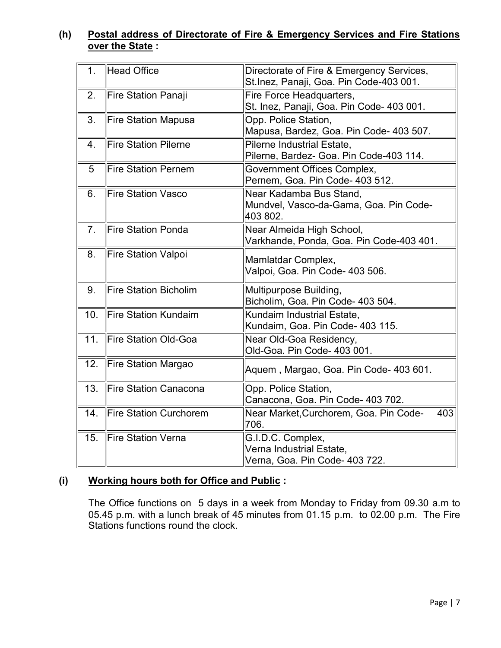### **(h) Postal address of Directorate of Fire & Emergency Services and Fire Stations over the State :**

| 1 <sub>1</sub> | <b>Head Office</b>            | Directorate of Fire & Emergency Services,<br>St.Inez, Panaji, Goa. Pin Code-403 001. |  |  |
|----------------|-------------------------------|--------------------------------------------------------------------------------------|--|--|
| 2.             | Fire Station Panaji           | Fire Force Headquarters,<br>St. Inez, Panaji, Goa. Pin Code- 403 001.                |  |  |
| 3.             | <b>Fire Station Mapusa</b>    | Opp. Police Station,<br>Mapusa, Bardez, Goa. Pin Code- 403 507.                      |  |  |
| 4.             | <b>Fire Station Pilerne</b>   | Pilerne Industrial Estate,<br>Pilerne, Bardez- Goa. Pin Code-403 114.                |  |  |
| 5              | <b>Fire Station Pernem</b>    | Government Offices Complex,<br>Pernem, Goa. Pin Code- 403 512.                       |  |  |
| 6.             | <b>Fire Station Vasco</b>     | Near Kadamba Bus Stand,<br>Mundvel, Vasco-da-Gama, Goa. Pin Code-<br>403 802.        |  |  |
| 7 <sub>1</sub> | <b>Fire Station Ponda</b>     | Near Almeida High School,<br>Varkhande, Ponda, Goa. Pin Code-403 401.                |  |  |
| 8.             | <b>Fire Station Valpoi</b>    | Mamlatdar Complex,<br>Valpoi, Goa. Pin Code- 403 506.                                |  |  |
| 9.             | <b>Fire Station Bicholim</b>  | Multipurpose Building,<br>Bicholim, Goa. Pin Code- 403 504.                          |  |  |
| 10.            | <b>Fire Station Kundaim</b>   | Kundaim Industrial Estate,<br>Kundaim, Goa. Pin Code- 403 115.                       |  |  |
| 11.            | <b>Fire Station Old-Goa</b>   | Near Old-Goa Residency,<br>Old-Goa. Pin Code- 403 001.                               |  |  |
| 12.            | Fire Station Margao           | Aquem , Margao, Goa. Pin Code- 403 601.                                              |  |  |
| 13.            | Fire Station Canacona         | Opp. Police Station,<br>Canacona, Goa. Pin Code- 403 702.                            |  |  |
| 14.            | <b>Fire Station Curchorem</b> | Near Market, Curchorem, Goa. Pin Code-<br>403<br>706.                                |  |  |
| 15.            | <b>Fire Station Verna</b>     | G.I.D.C. Complex,<br>Verna Industrial Estate,<br>Verna, Goa. Pin Code- 403 722.      |  |  |

# **(i) Working hours both for Office and Public :**

The Office functions on 5 days in a week from Monday to Friday from 09.30 a.m to 05.45 p.m. with a lunch break of 45 minutes from 01.15 p.m. to 02.00 p.m. The Fire Stations functions round the clock.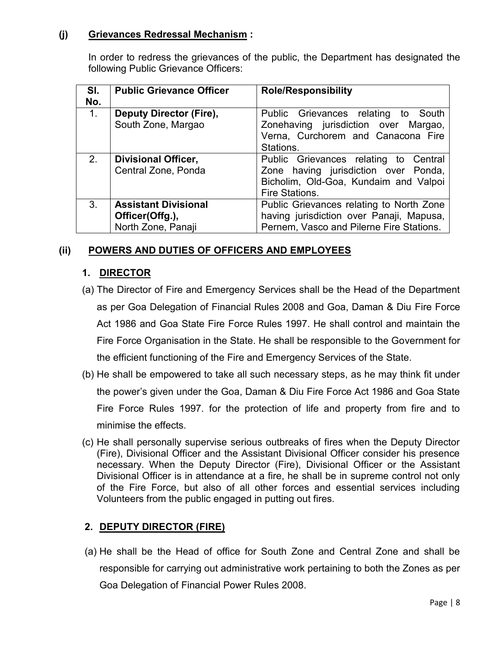### **(j) Grievances Redressal Mechanism :**

In order to redress the grievances of the public, the Department has designated the following Public Grievance Officers:

| SI.<br>No. | <b>Public Grievance Officer</b> | <b>Role/Responsibility</b>               |  |  |
|------------|---------------------------------|------------------------------------------|--|--|
| $1_{-}$    | Deputy Director (Fire),         | Public Grievances relating to South      |  |  |
|            | South Zone, Margao              | Zonehaving jurisdiction over Margao,     |  |  |
|            |                                 | Verna, Curchorem and Canacona Fire       |  |  |
|            |                                 | Stations.                                |  |  |
| 2.         | <b>Divisional Officer,</b>      | Public Grievances relating to Central    |  |  |
|            | Central Zone, Ponda             | Zone having jurisdiction over Ponda,     |  |  |
|            |                                 | Bicholim, Old-Goa, Kundaim and Valpoi    |  |  |
|            |                                 | Fire Stations.                           |  |  |
| 3.         | <b>Assistant Divisional</b>     | Public Grievances relating to North Zone |  |  |
|            | Officer(Offg.),                 | having jurisdiction over Panaji, Mapusa, |  |  |
|            | North Zone, Panaji              | Pernem, Vasco and Pilerne Fire Stations. |  |  |

# **(ii) POWERS AND DUTIES OF OFFICERS AND EMPLOYEES**

# **1. DIRECTOR**

- (a) The Director of Fire and Emergency Services shall be the Head of the Department as per Goa Delegation of Financial Rules 2008 and Goa, Daman & Diu Fire Force Act 1986 and Goa State Fire Force Rules 1997. He shall control and maintain the Fire Force Organisation in the State. He shall be responsible to the Government for the efficient functioning of the Fire and Emergency Services of the State.
- (b) He shall be empowered to take all such necessary steps, as he may think fit under the power's given under the Goa, Daman & Diu Fire Force Act 1986 and Goa State Fire Force Rules 1997. for the protection of life and property from fire and to minimise the effects.
- (c) He shall personally supervise serious outbreaks of fires when the Deputy Director (Fire), Divisional Officer and the Assistant Divisional Officer consider his presence necessary. When the Deputy Director (Fire), Divisional Officer or the Assistant Divisional Officer is in attendance at a fire, he shall be in supreme control not only of the Fire Force, but also of all other forces and essential services including Volunteers from the public engaged in putting out fires.

# **2. DEPUTY DIRECTOR (FIRE)**

(a) He shall be the Head of office for South Zone and Central Zone and shall be responsible for carrying out administrative work pertaining to both the Zones as per Goa Delegation of Financial Power Rules 2008.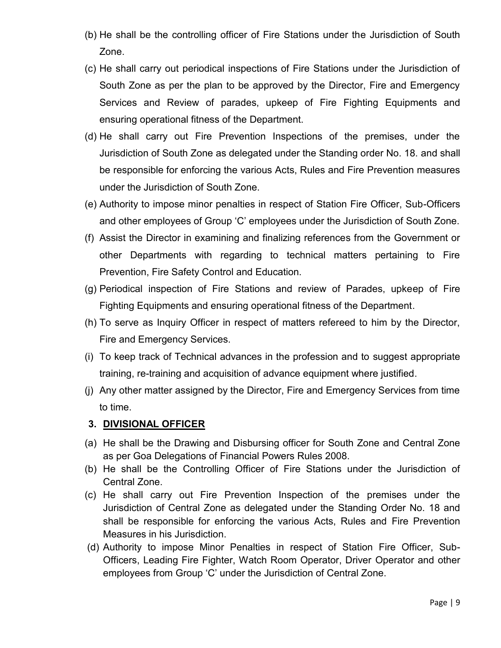- (b) He shall be the controlling officer of Fire Stations under the Jurisdiction of South Zone.
- (c) He shall carry out periodical inspections of Fire Stations under the Jurisdiction of South Zone as per the plan to be approved by the Director, Fire and Emergency Services and Review of parades, upkeep of Fire Fighting Equipments and ensuring operational fitness of the Department.
- (d) He shall carry out Fire Prevention Inspections of the premises, under the Jurisdiction of South Zone as delegated under the Standing order No. 18. and shall be responsible for enforcing the various Acts, Rules and Fire Prevention measures under the Jurisdiction of South Zone.
- (e) Authority to impose minor penalties in respect of Station Fire Officer, Sub-Officers and other employees of Group 'C' employees under the Jurisdiction of South Zone.
- (f) Assist the Director in examining and finalizing references from the Government or other Departments with regarding to technical matters pertaining to Fire Prevention, Fire Safety Control and Education.
- (g) Periodical inspection of Fire Stations and review of Parades, upkeep of Fire Fighting Equipments and ensuring operational fitness of the Department.
- (h) To serve as Inquiry Officer in respect of matters refereed to him by the Director, Fire and Emergency Services.
- (i) To keep track of Technical advances in the profession and to suggest appropriate training, re-training and acquisition of advance equipment where justified.
- (j) Any other matter assigned by the Director, Fire and Emergency Services from time to time.

# **3. DIVISIONAL OFFICER**

- (a) He shall be the Drawing and Disbursing officer for South Zone and Central Zone as per Goa Delegations of Financial Powers Rules 2008.
- (b) He shall be the Controlling Officer of Fire Stations under the Jurisdiction of Central Zone.
- (c) He shall carry out Fire Prevention Inspection of the premises under the Jurisdiction of Central Zone as delegated under the Standing Order No. 18 and shall be responsible for enforcing the various Acts, Rules and Fire Prevention Measures in his Jurisdiction.
- (d) Authority to impose Minor Penalties in respect of Station Fire Officer, Sub-Officers, Leading Fire Fighter, Watch Room Operator, Driver Operator and other employees from Group 'C' under the Jurisdiction of Central Zone.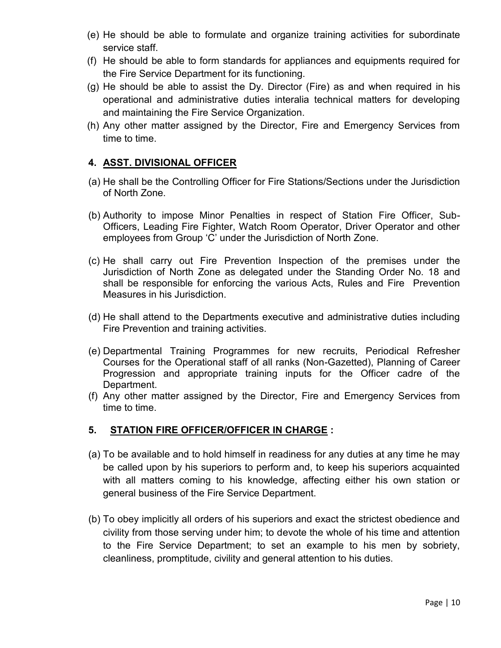- (e) He should be able to formulate and organize training activities for subordinate service staff.
- (f) He should be able to form standards for appliances and equipments required for the Fire Service Department for its functioning.
- (g) He should be able to assist the Dy. Director (Fire) as and when required in his operational and administrative duties interalia technical matters for developing and maintaining the Fire Service Organization.
- (h) Any other matter assigned by the Director, Fire and Emergency Services from time to time.

### **4. ASST. DIVISIONAL OFFICER**

- (a) He shall be the Controlling Officer for Fire Stations/Sections under the Jurisdiction of North Zone.
- (b) Authority to impose Minor Penalties in respect of Station Fire Officer, Sub-Officers, Leading Fire Fighter, Watch Room Operator, Driver Operator and other employees from Group 'C' under the Jurisdiction of North Zone.
- (c) He shall carry out Fire Prevention Inspection of the premises under the Jurisdiction of North Zone as delegated under the Standing Order No. 18 and shall be responsible for enforcing the various Acts, Rules and Fire Prevention Measures in his Jurisdiction.
- (d) He shall attend to the Departments executive and administrative duties including Fire Prevention and training activities.
- (e) Departmental Training Programmes for new recruits, Periodical Refresher Courses for the Operational staff of all ranks (Non-Gazetted), Planning of Career Progression and appropriate training inputs for the Officer cadre of the Department.
- (f) Any other matter assigned by the Director, Fire and Emergency Services from time to time.

# **5. STATION FIRE OFFICER/OFFICER IN CHARGE :**

- (a) To be available and to hold himself in readiness for any duties at any time he may be called upon by his superiors to perform and, to keep his superiors acquainted with all matters coming to his knowledge, affecting either his own station or general business of the Fire Service Department.
- (b) To obey implicitly all orders of his superiors and exact the strictest obedience and civility from those serving under him; to devote the whole of his time and attention to the Fire Service Department; to set an example to his men by sobriety, cleanliness, promptitude, civility and general attention to his duties.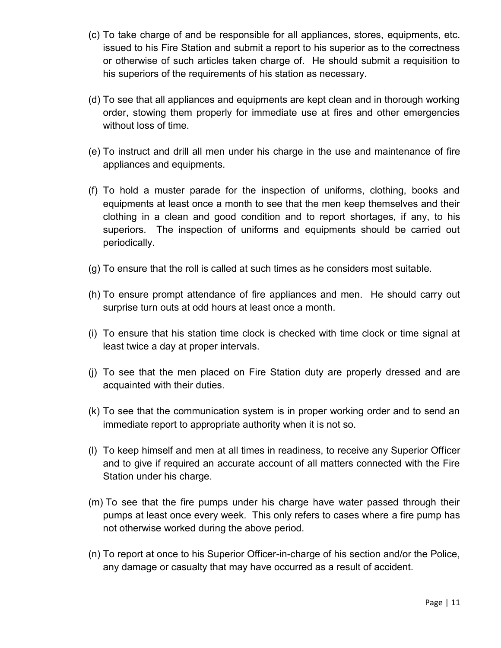- (c) To take charge of and be responsible for all appliances, stores, equipments, etc. issued to his Fire Station and submit a report to his superior as to the correctness or otherwise of such articles taken charge of. He should submit a requisition to his superiors of the requirements of his station as necessary.
- (d) To see that all appliances and equipments are kept clean and in thorough working order, stowing them properly for immediate use at fires and other emergencies without loss of time.
- (e) To instruct and drill all men under his charge in the use and maintenance of fire appliances and equipments.
- (f) To hold a muster parade for the inspection of uniforms, clothing, books and equipments at least once a month to see that the men keep themselves and their clothing in a clean and good condition and to report shortages, if any, to his superiors. The inspection of uniforms and equipments should be carried out periodically.
- (g) To ensure that the roll is called at such times as he considers most suitable.
- (h) To ensure prompt attendance of fire appliances and men. He should carry out surprise turn outs at odd hours at least once a month.
- (i) To ensure that his station time clock is checked with time clock or time signal at least twice a day at proper intervals.
- (j) To see that the men placed on Fire Station duty are properly dressed and are acquainted with their duties.
- (k) To see that the communication system is in proper working order and to send an immediate report to appropriate authority when it is not so.
- (l) To keep himself and men at all times in readiness, to receive any Superior Officer and to give if required an accurate account of all matters connected with the Fire Station under his charge.
- (m) To see that the fire pumps under his charge have water passed through their pumps at least once every week. This only refers to cases where a fire pump has not otherwise worked during the above period.
- (n) To report at once to his Superior Officer-in-charge of his section and/or the Police, any damage or casualty that may have occurred as a result of accident.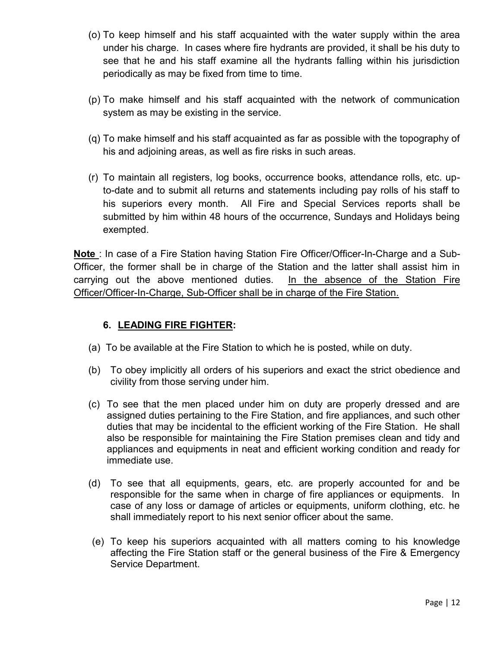- (o) To keep himself and his staff acquainted with the water supply within the area under his charge. In cases where fire hydrants are provided, it shall be his duty to see that he and his staff examine all the hydrants falling within his jurisdiction periodically as may be fixed from time to time.
- (p) To make himself and his staff acquainted with the network of communication system as may be existing in the service.
- (q) To make himself and his staff acquainted as far as possible with the topography of his and adjoining areas, as well as fire risks in such areas.
- (r) To maintain all registers, log books, occurrence books, attendance rolls, etc. upto-date and to submit all returns and statements including pay rolls of his staff to his superiors every month. All Fire and Special Services reports shall be submitted by him within 48 hours of the occurrence, Sundays and Holidays being exempted.

**Note** : In case of a Fire Station having Station Fire Officer/Officer-In-Charge and a Sub-Officer, the former shall be in charge of the Station and the latter shall assist him in carrying out the above mentioned duties. In the absence of the Station Fire Officer/Officer-In-Charge, Sub-Officer shall be in charge of the Fire Station.

# **6. LEADING FIRE FIGHTER:**

- (a) To be available at the Fire Station to which he is posted, while on duty.
- (b) To obey implicitly all orders of his superiors and exact the strict obedience and civility from those serving under him.
- (c) To see that the men placed under him on duty are properly dressed and are assigned duties pertaining to the Fire Station, and fire appliances, and such other duties that may be incidental to the efficient working of the Fire Station. He shall also be responsible for maintaining the Fire Station premises clean and tidy and appliances and equipments in neat and efficient working condition and ready for immediate use.
- (d) To see that all equipments, gears, etc. are properly accounted for and be responsible for the same when in charge of fire appliances or equipments. In case of any loss or damage of articles or equipments, uniform clothing, etc. he shall immediately report to his next senior officer about the same.
- (e) To keep his superiors acquainted with all matters coming to his knowledge affecting the Fire Station staff or the general business of the Fire & Emergency Service Department.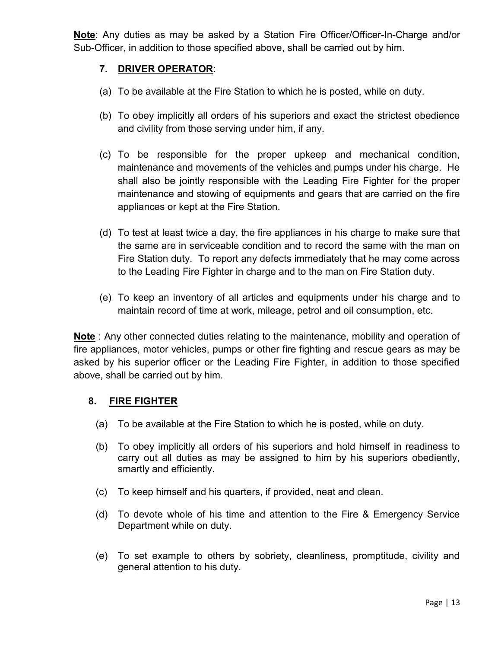**Note**: Any duties as may be asked by a Station Fire Officer/Officer-In-Charge and/or Sub-Officer, in addition to those specified above, shall be carried out by him.

# **7. DRIVER OPERATOR**:

- (a) To be available at the Fire Station to which he is posted, while on duty.
- (b) To obey implicitly all orders of his superiors and exact the strictest obedience and civility from those serving under him, if any.
- (c) To be responsible for the proper upkeep and mechanical condition, maintenance and movements of the vehicles and pumps under his charge. He shall also be jointly responsible with the Leading Fire Fighter for the proper maintenance and stowing of equipments and gears that are carried on the fire appliances or kept at the Fire Station.
- (d) To test at least twice a day, the fire appliances in his charge to make sure that the same are in serviceable condition and to record the same with the man on Fire Station duty. To report any defects immediately that he may come across to the Leading Fire Fighter in charge and to the man on Fire Station duty.
- (e) To keep an inventory of all articles and equipments under his charge and to maintain record of time at work, mileage, petrol and oil consumption, etc.

**Note** : Any other connected duties relating to the maintenance, mobility and operation of fire appliances, motor vehicles, pumps or other fire fighting and rescue gears as may be asked by his superior officer or the Leading Fire Fighter, in addition to those specified above, shall be carried out by him.

# **8. FIRE FIGHTER**

- (a) To be available at the Fire Station to which he is posted, while on duty.
- (b) To obey implicitly all orders of his superiors and hold himself in readiness to carry out all duties as may be assigned to him by his superiors obediently, smartly and efficiently.
- (c) To keep himself and his quarters, if provided, neat and clean.
- (d) To devote whole of his time and attention to the Fire & Emergency Service Department while on duty.
- (e) To set example to others by sobriety, cleanliness, promptitude, civility and general attention to his duty.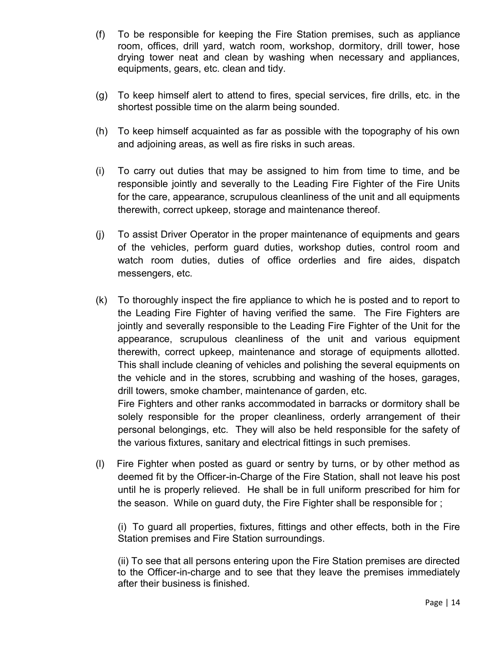- (f) To be responsible for keeping the Fire Station premises, such as appliance room, offices, drill yard, watch room, workshop, dormitory, drill tower, hose drying tower neat and clean by washing when necessary and appliances, equipments, gears, etc. clean and tidy.
- (g) To keep himself alert to attend to fires, special services, fire drills, etc. in the shortest possible time on the alarm being sounded.
- (h) To keep himself acquainted as far as possible with the topography of his own and adjoining areas, as well as fire risks in such areas.
- (i) To carry out duties that may be assigned to him from time to time, and be responsible jointly and severally to the Leading Fire Fighter of the Fire Units for the care, appearance, scrupulous cleanliness of the unit and all equipments therewith, correct upkeep, storage and maintenance thereof.
- (j) To assist Driver Operator in the proper maintenance of equipments and gears of the vehicles, perform guard duties, workshop duties, control room and watch room duties, duties of office orderlies and fire aides, dispatch messengers, etc.
- (k) To thoroughly inspect the fire appliance to which he is posted and to report to the Leading Fire Fighter of having verified the same. The Fire Fighters are jointly and severally responsible to the Leading Fire Fighter of the Unit for the appearance, scrupulous cleanliness of the unit and various equipment therewith, correct upkeep, maintenance and storage of equipments allotted. This shall include cleaning of vehicles and polishing the several equipments on the vehicle and in the stores, scrubbing and washing of the hoses, garages, drill towers, smoke chamber, maintenance of garden, etc.

Fire Fighters and other ranks accommodated in barracks or dormitory shall be solely responsible for the proper cleanliness, orderly arrangement of their personal belongings, etc. They will also be held responsible for the safety of the various fixtures, sanitary and electrical fittings in such premises.

(l) Fire Fighter when posted as guard or sentry by turns, or by other method as deemed fit by the Officer-in-Charge of the Fire Station, shall not leave his post until he is properly relieved. He shall be in full uniform prescribed for him for the season. While on guard duty, the Fire Fighter shall be responsible for ;

(i) To guard all properties, fixtures, fittings and other effects, both in the Fire Station premises and Fire Station surroundings.

(ii) To see that all persons entering upon the Fire Station premises are directed to the Officer-in-charge and to see that they leave the premises immediately after their business is finished.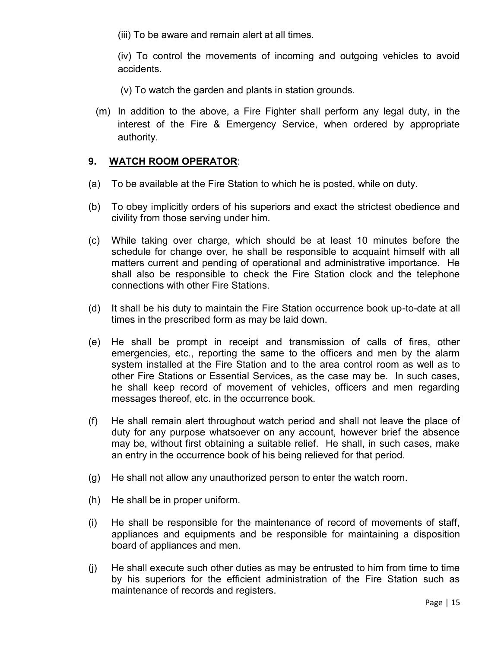(iii) To be aware and remain alert at all times.

(iv) To control the movements of incoming and outgoing vehicles to avoid accidents.

(v) To watch the garden and plants in station grounds.

(m) In addition to the above, a Fire Fighter shall perform any legal duty, in the interest of the Fire & Emergency Service, when ordered by appropriate authority.

### **9. WATCH ROOM OPERATOR**:

- (a) To be available at the Fire Station to which he is posted, while on duty.
- (b) To obey implicitly orders of his superiors and exact the strictest obedience and civility from those serving under him.
- (c) While taking over charge, which should be at least 10 minutes before the schedule for change over, he shall be responsible to acquaint himself with all matters current and pending of operational and administrative importance. He shall also be responsible to check the Fire Station clock and the telephone connections with other Fire Stations.
- (d) It shall be his duty to maintain the Fire Station occurrence book up-to-date at all times in the prescribed form as may be laid down.
- (e) He shall be prompt in receipt and transmission of calls of fires, other emergencies, etc., reporting the same to the officers and men by the alarm system installed at the Fire Station and to the area control room as well as to other Fire Stations or Essential Services, as the case may be. In such cases, he shall keep record of movement of vehicles, officers and men regarding messages thereof, etc. in the occurrence book.
- (f) He shall remain alert throughout watch period and shall not leave the place of duty for any purpose whatsoever on any account, however brief the absence may be, without first obtaining a suitable relief. He shall, in such cases, make an entry in the occurrence book of his being relieved for that period.
- (g) He shall not allow any unauthorized person to enter the watch room.
- (h) He shall be in proper uniform.
- (i) He shall be responsible for the maintenance of record of movements of staff, appliances and equipments and be responsible for maintaining a disposition board of appliances and men.
- (j) He shall execute such other duties as may be entrusted to him from time to time by his superiors for the efficient administration of the Fire Station such as maintenance of records and registers.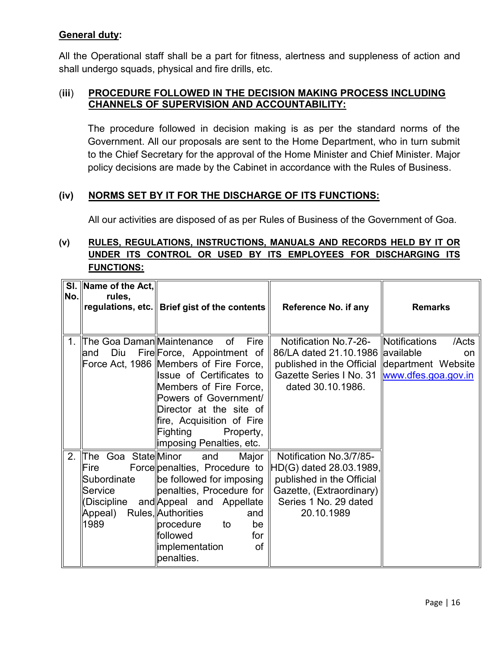# **General duty:**

All the Operational staff shall be a part for fitness, alertness and suppleness of action and shall undergo squads, physical and fire drills, etc.

### (**iii**) **PROCEDURE FOLLOWED IN THE DECISION MAKING PROCESS INCLUDING CHANNELS OF SUPERVISION AND ACCOUNTABILITY:**

The procedure followed in decision making is as per the standard norms of the Government. All our proposals are sent to the Home Department, who in turn submit to the Chief Secretary for the approval of the Home Minister and Chief Minister. Major policy decisions are made by the Cabinet in accordance with the Rules of Business.

### **(iv) NORMS SET BY IT FOR THE DISCHARGE OF ITS FUNCTIONS:**

All our activities are disposed of as per Rules of Business of the Government of Goa.

# **(v) RULES, REGULATIONS, INSTRUCTIONS, MANUALS AND RECORDS HELD BY IT OR UNDER ITS CONTROL OR USED BY ITS EMPLOYEES FOR DISCHARGING ITS FUNCTIONS:**

| No.     | SI. Name of the Act,<br>rules,                                                              | regulations, etc.   Brief gist of the contents                                                                                                                                                                                                                                                      | Reference No. if any                                                                                                                                      | <b>Remarks</b>                                                 |
|---------|---------------------------------------------------------------------------------------------|-----------------------------------------------------------------------------------------------------------------------------------------------------------------------------------------------------------------------------------------------------------------------------------------------------|-----------------------------------------------------------------------------------------------------------------------------------------------------------|----------------------------------------------------------------|
| $1_{-}$ | l∏he Goa DamanlMaintenance<br>Diu<br>and                                                    | of<br><b>Fire</b><br>Fire Force, Appointment of<br>Force Act, 1986 Members of Fire Force,<br>Issue of Certificates to<br>Members of Fire Force,<br>Powers of Government/<br>Director at the site of<br>$\parallel$ fire, Acquisition of Fire<br> Fighting<br>Property,<br>∥imposing Penalties, etc. | Notification No.7-26-<br>86/LA dated 21.10.1986 available<br>published in the Official department Website<br>Gazette Series I No. 31<br>dated 30.10.1986. | Notifications<br>/Acts<br><sub>on</sub><br>www.dfes.goa.gov.in |
| 2.      | Goa State Minor<br>lThe<br>Fire<br>Subordinate<br>Service<br>(Discipline<br>Appeal)<br>1989 | and<br>Major<br>Force penalties, Procedure to<br>be followed for imposing<br>penalties, Procedure for<br>and Appeal and Appellate<br>Rules, Authorities<br>and<br>  procedure<br>be<br>to<br><b>followed</b><br>for<br>limplementation<br>of<br>penalties.                                          | Notification No. 3/7/85-<br>$\ HD(G)$ dated 28.03.1989,<br>published in the Official<br>Gazette, (Extraordinary)<br>Series 1 No. 29 dated<br>20.10.1989   |                                                                |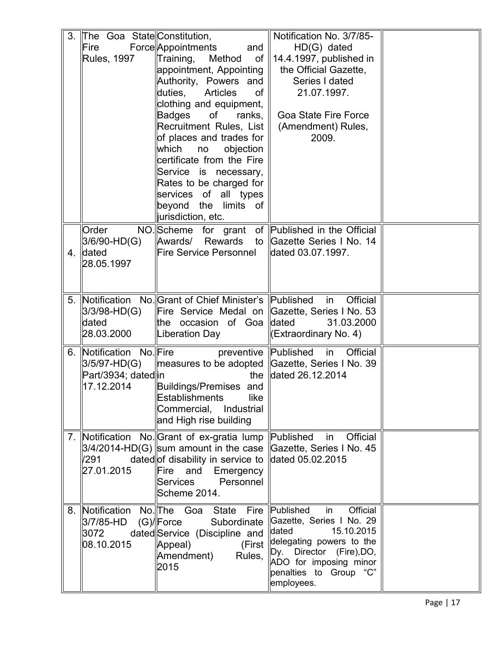| 3. | The Goa State Constitution, |                                                      | Notification No. 3/7/85-             |  |
|----|-----------------------------|------------------------------------------------------|--------------------------------------|--|
|    | Fire                        | Force Appointments<br>and                            | HD(G) dated                          |  |
|    | <b>Rules, 1997</b>          | Training,<br>of<br>Method                            | $\vert$ 14.4.1997, published in      |  |
|    |                             | appointment, Appointing                              | the Official Gazette,                |  |
|    |                             | Authority, Powers and                                | Series I dated                       |  |
|    |                             | duties,<br><b>Articles</b><br>of                     | 21.07.1997.                          |  |
|    |                             |                                                      |                                      |  |
|    |                             | clothing and equipment,                              |                                      |  |
|    |                             | Badges<br>of<br>ranks,                               | <b>Goa State Fire Force</b>          |  |
|    |                             | Recruitment Rules, List                              | (Amendment) Rules,                   |  |
|    |                             | of places and trades for                             | 2009.                                |  |
|    |                             | which<br>objection<br>no                             |                                      |  |
|    |                             | certificate from the Fire                            |                                      |  |
|    |                             | Service is necessary,                                |                                      |  |
|    |                             | Rates to be charged for                              |                                      |  |
|    |                             | services of all types                                |                                      |  |
|    |                             | beyond the<br>limits of                              |                                      |  |
|    |                             | jurisdiction, etc.                                   |                                      |  |
|    | Order                       | NO. Scheme for grant of Published in the Official    |                                      |  |
|    | $3/6/90-HD(G)$              | Rewards<br>Awards/                                   | to ∥Gazette Series I No. 14          |  |
| 4. | <b>dated</b>                | Fire Service Personnel                               | dated 03.07.1997.                    |  |
|    | 28.05.1997                  |                                                      |                                      |  |
|    |                             |                                                      |                                      |  |
|    |                             |                                                      |                                      |  |
|    |                             |                                                      |                                      |  |
| 5. |                             | Notification No. Grant of Chief Minister's Published | Official<br>in                       |  |
|    | 3/3/98-HD(G)                | Fire Service Medal on Gazette, Series I No. 53       |                                      |  |
|    | dated                       | the occasion of Goaldated                            | 31.03.2000                           |  |
|    | 28.03.2000                  | Liberation Day                                       | kExtraordinary No. 4)                |  |
| 6. | Notification No. Fire       | preventive Published                                 | $\overline{\mathsf{in}}$<br>Official |  |
|    | $3/5/97-HD(G)$              | measures to be adopted Cazette, Series I No. 39      |                                      |  |
|    | Part/3934; datedin          | the                                                  | dated 26.12.2014                     |  |
|    | 17.12.2014                  | Buildings/Premises and                               |                                      |  |
|    |                             | <b>Establishments</b><br>like                        |                                      |  |
|    |                             | Commercial,<br>Industrial                            |                                      |  |
|    |                             | and High rise building                               |                                      |  |
|    |                             |                                                      |                                      |  |
| 7. |                             | Notification No. Grant of ex-gratia lump             | Published<br>Official<br>in          |  |
|    |                             | $3/4/2014$ -HD(G) sum amount in the case             | Gazette, Series I No. 45             |  |
|    | /291                        | dated of disability in service to                    | dated 05.02.2015                     |  |
|    | 27.01.2015                  | Fire<br>and<br>Emergency                             |                                      |  |
|    |                             | Personnel<br><b>Services</b>                         |                                      |  |
|    |                             | Scheme 2014.                                         |                                      |  |
| 8. |                             | Notification No. The Goa State<br>Fire               | Official<br>Published<br>in          |  |
|    | 3/7/85-HD                   | $(G)/$ Force<br>Subordinate                          | Gazette, Series I No. 29             |  |
|    | 3072                        | dated Service (Discipline and                        | dated<br>15.10.2015                  |  |
|    | 08.10.2015                  | Appeal)<br>(First                                    | delegating powers to the             |  |
|    |                             | Amendment)<br>Rules,                                 | Dy. Director (Fire), DO,             |  |
|    |                             | 2015                                                 | ADO for imposing minor               |  |
|    |                             |                                                      | penalties to Group "C"               |  |
|    |                             |                                                      | employees.                           |  |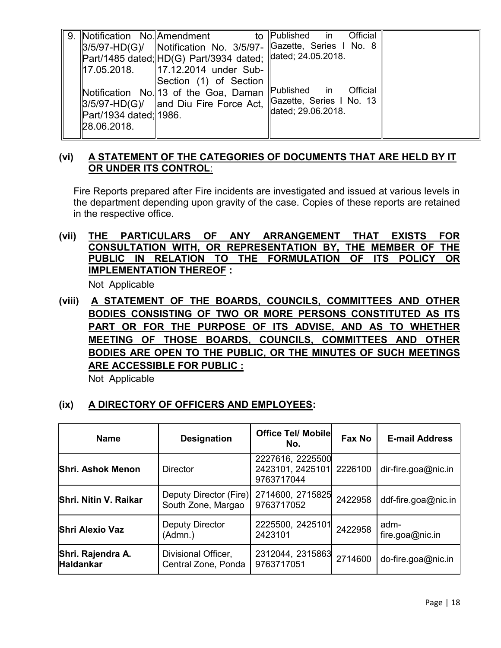| 9. Notification No. Amendment |                                                               | to Published in Official                                           |
|-------------------------------|---------------------------------------------------------------|--------------------------------------------------------------------|
|                               |                                                               | 3/5/97-HD(G)/   Notification No. 3/5/97-   Gazette, Series I No. 8 |
|                               | Part/1485 dated;  HD(G) Part/3934 dated;   dated; 24.05.2018. |                                                                    |
|                               | 17.05.2018.   17.12.2014 under Sub-                           |                                                                    |
|                               | Section (1) of Section                                        |                                                                    |
|                               | Notification No. 13 of the Goa, Daman                         | Published in Official                                              |
|                               |                                                               | 3/5/97-HD(G)/   and Diu Fire Force Act,   Gazette, Series I No. 13 |
| Part/1934 dated;  1986.       |                                                               | dated; 29.06.2018.                                                 |
| 28.06.2018.                   |                                                               |                                                                    |
|                               |                                                               |                                                                    |

# **(vi) A STATEMENT OF THE CATEGORIES OF DOCUMENTS THAT ARE HELD BY IT OR UNDER ITS CONTROL**:

Fire Reports prepared after Fire incidents are investigated and issued at various levels in the department depending upon gravity of the case. Copies of these reports are retained in the respective office.

# **(vii) THE PARTICULARS OF ANY ARRANGEMENT THAT EXISTS FOR CONSULTATION WITH, OR REPRESENTATION BY, THE MEMBER OF THE PUBLIC IN RELATION TO THE FORMULATION OF ITS POLICY OR IMPLEMENTATION THEREOF :**

Not Applicable

**(viii) A STATEMENT OF THE BOARDS, COUNCILS, COMMITTEES AND OTHER BODIES CONSISTING OF TWO OR MORE PERSONS CONSTITUTED AS ITS PART OR FOR THE PURPOSE OF ITS ADVISE, AND AS TO WHETHER MEETING OF THOSE BOARDS, COUNCILS, COMMITTEES AND OTHER BODIES ARE OPEN TO THE PUBLIC, OR THE MINUTES OF SUCH MEETINGS ARE ACCESSIBLE FOR PUBLIC :** 

Not Applicable

# **(ix) A DIRECTORY OF OFFICERS AND EMPLOYEES:**

| <b>Name</b>                           | <b>Designation</b>                           | <b>Office Tel/ Mobile</b><br>No.                   | Fax No  | <b>E-mail Address</b>   |
|---------------------------------------|----------------------------------------------|----------------------------------------------------|---------|-------------------------|
| <b>Shri. Ashok Menon</b>              | <b>Director</b>                              | 2227616, 2225500<br>2423101, 2425101<br>9763717044 | 2226100 | dir-fire.goa@nic.in     |
| Shri. Nitin V. Raikar                 | Deputy Director (Fire)<br>South Zone, Margao | 2714600, 2715825<br>9763717052                     | 2422958 | ddf-fire.goa@nic.in     |
| <b>Shri Alexio Vaz</b>                | <b>Deputy Director</b><br>(Admn.)            | 2225500, 2425101<br>2423101                        | 2422958 | adm-<br>fire.goa@nic.in |
| Shri. Rajendra A.<br><b>Haldankar</b> | Divisional Officer,<br>Central Zone, Ponda   | 2312044, 2315863<br>9763717051                     | 2714600 | do-fire.goa@nic.in      |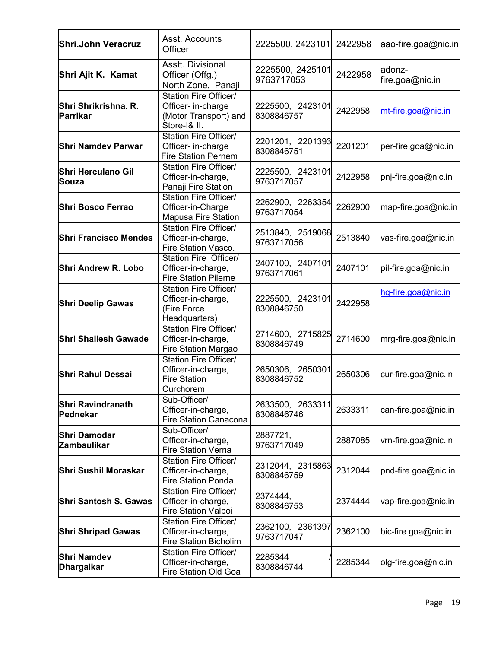| Shri.John Veracruz                                                                                          | Asst. Accounts<br>Officer                                                            | 2225500, 2423101               | 2422958 | aao-fire.goa@nic.in       |
|-------------------------------------------------------------------------------------------------------------|--------------------------------------------------------------------------------------|--------------------------------|---------|---------------------------|
| Shri Ajit K. Kamat                                                                                          | <b>Asstt. Divisional</b><br>Officer (Offg.)<br>North Zone, Panaji                    | 2225500, 2425101<br>9763717053 | 2422958 | adonz-<br>fire.goa@nic.in |
| Shri Shrikrishna. R.<br>Parrikar                                                                            | Station Fire Officer/<br>Officer- in-charge<br>(Motor Transport) and<br>Store-I& II. | 2225500, 2423101<br>8308846757 | 2422958 | mt-fire.goa@nic.in        |
| <b>Shri Namdev Parwar</b>                                                                                   | <b>Station Fire Officer/</b><br>Officer- in-charge<br><b>Fire Station Pernem</b>     | 2201201, 2201393<br>8308846751 | 2201201 | per-fire.goa@nic.in       |
| <b>Shri Herculano Gil</b><br>Souza                                                                          | Station Fire Officer/<br>Officer-in-charge,<br>Panaji Fire Station                   | 2225500, 2423101<br>9763717057 | 2422958 | pnj-fire.goa@nic.in       |
| Shri Bosco Ferrao                                                                                           | Station Fire Officer/<br>Officer-in-Charge<br><b>Mapusa Fire Station</b>             | 2262900, 2263354<br>9763717054 | 2262900 | map-fire.goa@nic.in       |
| <b>Shri Francisco Mendes</b>                                                                                | Station Fire Officer/<br>Officer-in-charge,<br>Fire Station Vasco.                   | 2513840, 2519068<br>9763717056 | 2513840 | vas-fire.goa@nic.in       |
| Shri Andrew R. Lobo                                                                                         | Station Fire Officer/<br>Officer-in-charge,<br><b>Fire Station Pilerne</b>           | 2407100, 2407101<br>9763717061 | 2407101 | pil-fire.goa@nic.in       |
| <b>Shri Deelip Gawas</b>                                                                                    | Station Fire Officer/<br>Officer-in-charge,<br>(Fire Force<br>Headquarters)          | 2225500, 2423101<br>8308846750 | 2422958 | hq-fire.goa@nic.in        |
| <b>Shri Shailesh Gawade</b>                                                                                 | Station Fire Officer/<br>Officer-in-charge,<br>Fire Station Margao                   | 2714600, 2715825<br>8308846749 | 2714600 | mrg-fire.goa@nic.in       |
| Station Fire Officer/<br>Officer-in-charge,<br><b>Shri Rahul Dessai</b><br><b>Fire Station</b><br>Curchorem |                                                                                      | 2650306, 2650301<br>8308846752 | 2650306 | cur-fire.goa@nic.in       |
| <b>Shri Ravindranath</b><br>Pednekar                                                                        | Sub-Officer/<br>Officer-in-charge,<br><b>Fire Station Canacona</b>                   | 2633500, 2633311<br>8308846746 | 2633311 | can-fire.goa@nic.in       |
| <b>Shri Damodar</b><br><b>Zambaulikar</b>                                                                   | Sub-Officer/<br>Officer-in-charge,<br><b>Fire Station Verna</b>                      | 2887721,<br>9763717049         | 2887085 | vrn-fire.goa@nic.in       |
| Shri Sushil Moraskar                                                                                        | Station Fire Officer/<br>Officer-in-charge,<br><b>Fire Station Ponda</b>             | 2312044, 2315863<br>8308846759 | 2312044 | pnd-fire.goa@nic.in       |
| Station Fire Officer/<br><b>Shri Santosh S. Gawas</b><br>Officer-in-charge,<br>Fire Station Valpoi          |                                                                                      | 2374444.<br>8308846753         | 2374444 | vap-fire.goa@nic.in       |
| <b>Shri Shripad Gawas</b>                                                                                   | Station Fire Officer/<br>Officer-in-charge,<br><b>Fire Station Bicholim</b>          | 2362100, 2361397<br>9763717047 | 2362100 | bic-fire.goa@nic.in       |
| <b>Shri Namdev</b><br>Dhargalkar                                                                            | Station Fire Officer/<br>Officer-in-charge,<br>Fire Station Old Goa                  | 2285344<br>8308846744          | 2285344 | olg-fire.goa@nic.in       |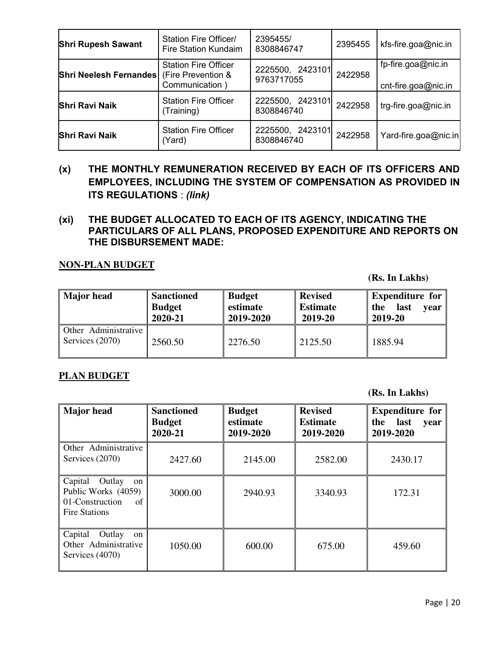| <b>Shri Rupesh Sawant</b> | Station Fire Officer/<br><b>Fire Station Kundaim</b>                | 2395455/<br>8308846747         | 2395455 | kfs-fire.goa@nic.in                       |
|---------------------------|---------------------------------------------------------------------|--------------------------------|---------|-------------------------------------------|
| Shri Neelesh Fernandes    | <b>Station Fire Officer</b><br>(Fire Prevention &<br>Communication) | 2225500, 2423101<br>9763717055 | 2422958 | fp-fire.goa@nic.in<br>cnt-fire.goa@nic.in |
| <b>Shri Ravi Naik</b>     | <b>Station Fire Officer</b><br>(Training)                           | 2225500, 2423101<br>8308846740 | 2422958 | trg-fire.goa@nic.in                       |
| <b>Shri Ravi Naik</b>     | <b>Station Fire Officer</b><br>(Yard)                               | 2225500, 2423101<br>8308846740 | 2422958 | Yard-fire.goa@nic.in                      |

- **(x) THE MONTHLY REMUNERATION RECEIVED BY EACH OF ITS OFFICERS AND EMPLOYEES, INCLUDING THE SYSTEM OF COMPENSATION AS PROVIDED IN ITS REGULATIONS** : *(link)*
- **(xi) THE BUDGET ALLOCATED TO EACH OF ITS AGENCY, INDICATING THE PARTICULARS OF ALL PLANS, PROPOSED EXPENDITURE AND REPORTS ON THE DISBURSEMENT MADE:**

#### **NON-PLAN BUDGET**

**(Rs. In Lakhs)** 

| <b>Major</b> head                       | <b>Sanctioned</b><br><b>Budget</b><br>2020-21 | <b>Budget</b><br>estimate<br>2019-2020 | <b>Revised</b><br><b>Estimate</b><br>2019-20 | Expenditure for<br>last<br>the<br><b>vear</b><br>2019-20 |
|-----------------------------------------|-----------------------------------------------|----------------------------------------|----------------------------------------------|----------------------------------------------------------|
| Other Administrative<br>Services (2070) | 2560.50                                       | 2276.50                                | 2125.50                                      | 1885.94                                                  |

#### **PLAN BUDGET**

**(Rs. In Lakhs)** 

| <b>Major</b> head                                                                               | <b>Sanctioned</b><br><b>Budget</b><br>2020-21 | <b>Budget</b><br>estimate<br>2019-2020 | <b>Revised</b><br><b>Estimate</b><br>2019-2020 | <b>Expenditure for</b><br>last<br>the<br>year<br>2019-2020 |
|-------------------------------------------------------------------------------------------------|-----------------------------------------------|----------------------------------------|------------------------------------------------|------------------------------------------------------------|
| Other Administrative<br>Services (2070)                                                         | 2427.60                                       | 2145.00                                | 2582.00                                        | 2430.17                                                    |
| Capital<br>Outlay<br>on<br>Public Works (4059)<br>01-Construction<br>of<br><b>Fire Stations</b> | 3000.00                                       | 2940.93                                | 3340.93                                        | 172.31                                                     |
| Capital<br>Outlay<br><sub>on</sub><br>Other Administrative<br>Services (4070)                   | 1050.00                                       | 600.00                                 | 675.00                                         | 459.60                                                     |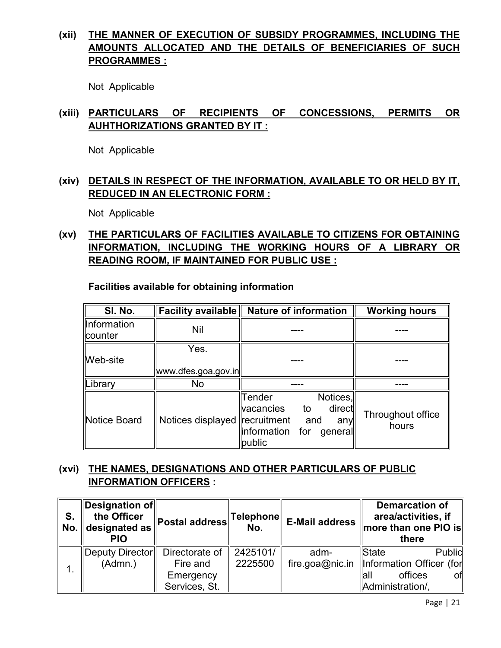# **(xii) THE MANNER OF EXECUTION OF SUBSIDY PROGRAMMES, INCLUDING THE AMOUNTS ALLOCATED AND THE DETAILS OF BENEFICIARIES OF SUCH PROGRAMMES :**

Not Applicable

# **(xiii) PARTICULARS OF RECIPIENTS OF CONCESSIONS, PERMITS OR AUHTHORIZATIONS GRANTED BY IT :**

Not Applicable

# **(xiv) DETAILS IN RESPECT OF THE INFORMATION, AVAILABLE TO OR HELD BY IT, REDUCED IN AN ELECTRONIC FORM :**

Not Applicable

# **(xv) THE PARTICULARS OF FACILITIES AVAILABLE TO CITIZENS FOR OBTAINING INFORMATION, INCLUDING THE WORKING HOURS OF A LIBRARY OR READING ROOM, IF MAINTAINED FOR PUBLIC USE :**

**Facilities available for obtaining information** 

| SI. No.                | <b>Facility available</b>     | <b>Nature of information</b>                                                                                              | <b>Working hours</b>       |
|------------------------|-------------------------------|---------------------------------------------------------------------------------------------------------------------------|----------------------------|
| Information<br>counter | <b>Nil</b>                    |                                                                                                                           |                            |
| Web-site               | Yes.<br>www.dfes.goa.gov.in   |                                                                                                                           |                            |
| Library                | No                            |                                                                                                                           |                            |
| Notice Board           | Notices displayed recruitment | Notices,<br>Tender<br>direct<br><b>vacancies</b><br>to<br>and<br>any<br>$\parallel$ information for<br>generall<br>public | Throughout office<br>hours |

# **(xvi) THE NAMES, DESIGNATIONS AND OTHER PARTICULARS OF PUBLIC INFORMATION OFFICERS :**

| S. | Designation of<br>the Officer<br>$\vert$ No. $\vert\vert$ designated as<br><b>PIO</b> | ∥Postal address∥Telephone∥ <sub>►</sub> | No.      | <b>E-Mail address</b> | <b>Demarcation of</b><br>area/activities, if<br>$\parallel$ more than one PIO is $\parallel$<br>there |
|----|---------------------------------------------------------------------------------------|-----------------------------------------|----------|-----------------------|-------------------------------------------------------------------------------------------------------|
|    | Deputy Director                                                                       | Directorate of                          | 2425101/ | adm-                  | Public<br><b>IState</b>                                                                               |
|    | (Admn.)                                                                               | Fire and                                | 2225500  |                       | fire.goa@nic.in   Information Officer (for                                                            |
|    |                                                                                       | Emergency                               |          |                       | of<br>offices<br>lall                                                                                 |
|    |                                                                                       | Services, St.                           |          |                       | Administration/,                                                                                      |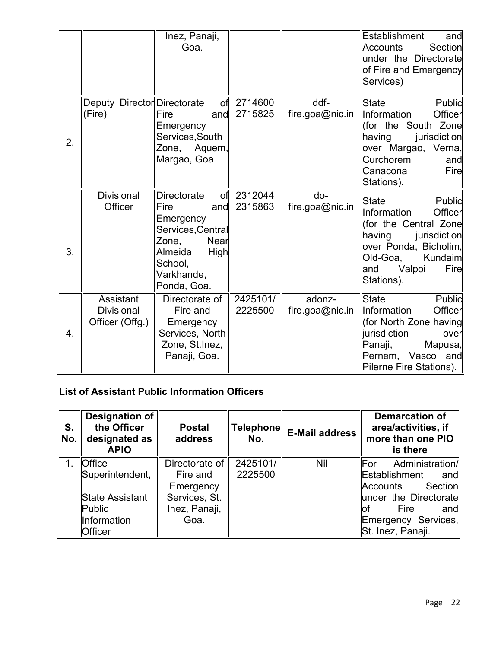|    |                                                   | Inez, Panaji,<br>Goa.                                                                                                                                                 |                     |                           | <b>Establishment</b><br>and<br>Section<br><b>Accounts</b><br>under the Directorate<br>of Fire and Emergency<br>Services)                                                              |
|----|---------------------------------------------------|-----------------------------------------------------------------------------------------------------------------------------------------------------------------------|---------------------|---------------------------|---------------------------------------------------------------------------------------------------------------------------------------------------------------------------------------|
| 2. | Deputy Director Directorate<br>(Fire)             | of<br>and<br>Fire<br>Emergency<br>Services, South<br>Zone, Aquem,<br>Margao, Goa                                                                                      | 2714600<br>2715825  | ddf-<br>fire.goa@nic.in   | State<br>Public<br>Information<br>Officer<br>(for the South Zone $\parallel$<br>having<br>jurisdiction<br> over Margao, Verna,∥<br>Curchorem<br>and<br>Fire<br>Canacona<br>Stations). |
| 3. | <b>Divisional</b><br>Officer                      | <b>Directorate</b><br>ofl<br>Fire<br>and<br>Emergency<br>Services, Central<br>Zone,<br><b>Nearl</b><br>Almeida<br><b>High</b><br>School,<br>Varkhande,<br>Ponda, Goa. | 2312044<br>2315863  | do-<br>fire.goa@nic.in    | State<br>Public<br>Information<br>Officer<br>(for the Central Zone<br>$\ $ having jurisdiction<br>over Ponda, Bicholim,<br>Old-Goa,<br>Kundaim<br>Valpoi<br>Fire<br>and<br>Stations). |
| 4. | Assistant<br><b>Divisional</b><br>Officer (Offg.) | Directorate of<br>Fire and<br>Emergency<br>Services, North<br>Zone, St.Inez,<br>Panaji, Goa.                                                                          | 2425101/<br>2225500 | adonz-<br>fire.goa@nic.in | <b>State</b><br>Public<br>Information<br>Officer<br>(for North Zone having<br><b>jurisdiction</b><br>over<br>Panaji,<br>Mapusa,<br>Pernem, Vasco and<br>Pilerne Fire Stations).       |

# **List of Assistant Public Information Officers**

| S.<br>No. | <b>Designation of</b><br>the Officer<br>designated as<br><b>APIO</b> | <b>Postal</b><br>address | <b>Telephone</b><br>No. | E-Mail address | <b>Demarcation of</b><br>area/activities, if<br>more than one PIO<br>is there |
|-----------|----------------------------------------------------------------------|--------------------------|-------------------------|----------------|-------------------------------------------------------------------------------|
|           | <b>Office</b>                                                        | Directorate of           | 2425101/                | <b>Nil</b>     | lFor<br>Administration/                                                       |
|           | Superintendent,                                                      | Fire and                 | 2225500                 |                | Establishment<br>andl                                                         |
|           |                                                                      | Emergency                |                         |                | Section<br>llAccounts                                                         |
|           | State Assistant                                                      | Services, St.            |                         |                | under the Directorate                                                         |
|           | $\blacksquare$ Public                                                | Inez, Panaji,            |                         |                | Fire<br>andl<br>Юt                                                            |
|           | Information                                                          | Goa.                     |                         |                | <b>Emergency Services,</b>                                                    |
|           | Officer                                                              |                          |                         |                | St. Inez, Panaji.                                                             |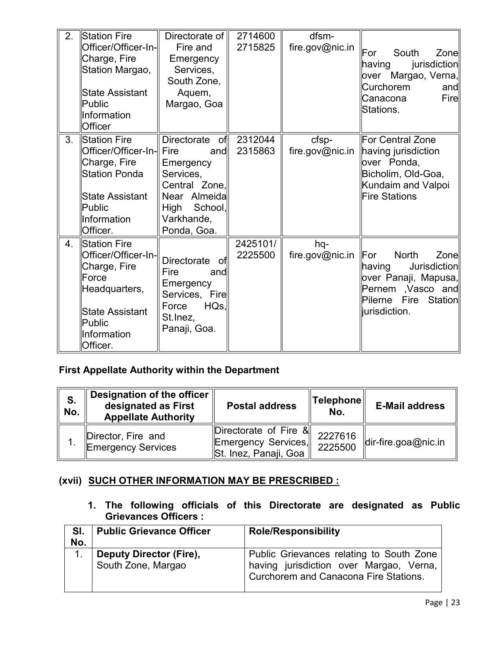| 2. | Station Fire<br>Officer/Officer-In-<br>Charge, Fire<br>Station Margao,<br><b>State Assistant</b><br>Public<br>Information<br><b>Officer</b>         | Directorate of I<br>Fire and<br>Emergency<br>Services,<br>South Zone,<br>Aquem,<br>Margao, Goa                                     | 2714600<br>2715825  | dfsm-<br>fire.gov@nic.in | For<br>South<br>Zone<br>jurisdiction<br>having<br>over Margao, Verna,∥<br>Curchorem<br>and<br>Fire<br>Canacona<br>Stations.                             |
|----|-----------------------------------------------------------------------------------------------------------------------------------------------------|------------------------------------------------------------------------------------------------------------------------------------|---------------------|--------------------------|---------------------------------------------------------------------------------------------------------------------------------------------------------|
| 3. | Station Fire<br>Officer/Officer-In- Fire<br>Charge, Fire<br><b>Station Ponda</b><br><b>State Assistant</b><br>Public<br>Information<br>Officer.     | Directorate<br>ofl<br>andl<br>Emergency<br>Services,<br>Central Zone,<br>Near Almeida<br>High School,<br>Varkhande,<br>Ponda, Goa. | 2312044<br>2315863  | cfsp-<br>fire.gov@nic.in | For Central Zone<br>having jurisdiction<br>over Ponda,<br>Bicholim, Old-Goa,<br>Kundaim and Valpoi<br><b>Fire Stations</b>                              |
| 4. | <b>Station Fire</b><br>Officer/Officer-In-<br>Charge, Fire<br>Force<br>Headquarters,<br><b>State Assistant</b><br>Public<br>Information<br>Officer. | Directorate<br>of<br>Fire<br>and<br>Emergency<br>Services, Fire<br>HQs<br>Force<br>St. Inez,<br>Panaji, Goa.                       | 2425101/<br>2225500 | hq-<br>fire.gov@nic.in   | <b>For</b><br><b>North</b><br>Zone<br>Jurisdiction<br>having<br>over Panaji, Mapusa,∥<br>Pernem , Vasco and<br>Pilerne Fire<br>Station<br>lurisdiction. |

# **First Appellate Authority within the Department**

| S.<br>No. | Designation of the officer<br>designated as First<br><b>Appellate Authority</b> | <b>Postal address</b>                                                    | ∥Telephone∥<br>No. | <b>E-Mail address</b>                |
|-----------|---------------------------------------------------------------------------------|--------------------------------------------------------------------------|--------------------|--------------------------------------|
|           | Director, Fire and<br><b>Emergency Services</b>                                 | Directorate of Fire $\&$<br>Emergency Services,<br>St. Inez, Panaji, Goa | 2227616<br>2225500 | $\left  \right $ dir-fire.goa@nic.in |

# **(xvii) SUCH OTHER INFORMATION MAY BE PRESCRIBED :**

**1. The following officials of this Directorate are designated as Public Grievances Officers :** 

| SI.<br>No. | <b>Public Grievance Officer</b>               | <b>Role/Responsibility</b>                                                                                                   |
|------------|-----------------------------------------------|------------------------------------------------------------------------------------------------------------------------------|
|            | Deputy Director (Fire),<br>South Zone, Margao | Public Grievances relating to South Zone<br>having jurisdiction over Margao, Verna,<br>Curchorem and Canacona Fire Stations. |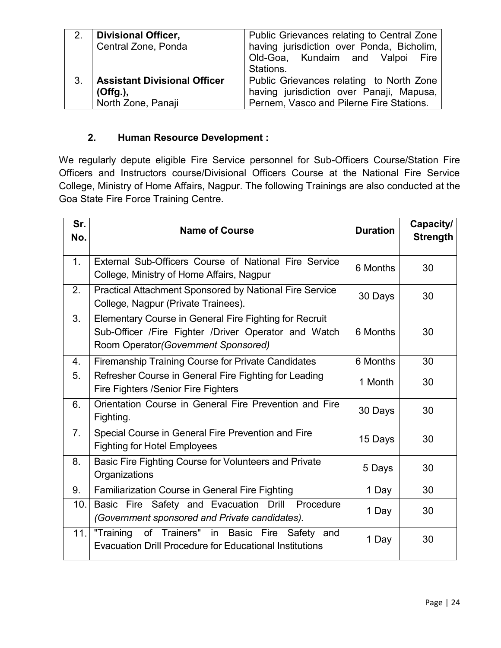| 2.             | Divisional Officer,<br>Central Zone, Ponda | Public Grievances relating to Central Zone<br>having jurisdiction over Ponda, Bicholim,<br>Old-Goa, Kundaim and Valpoi Fire<br>Stations. |
|----------------|--------------------------------------------|------------------------------------------------------------------------------------------------------------------------------------------|
| 3 <sub>1</sub> | <b>Assistant Divisional Officer</b>        | Public Grievances relating to North Zone                                                                                                 |
|                | (Offg.),                                   | having jurisdiction over Panaji, Mapusa,                                                                                                 |
|                | North Zone, Panaji                         | Pernem, Vasco and Pilerne Fire Stations.                                                                                                 |

# **2. Human Resource Development :**

We regularly depute eligible Fire Service personnel for Sub-Officers Course/Station Fire Officers and Instructors course/Divisional Officers Course at the National Fire Service College, Ministry of Home Affairs, Nagpur. The following Trainings are also conducted at the Goa State Fire Force Training Centre.

| Sr.<br>No.     | <b>Name of Course</b>                                                                                                                                  | <b>Duration</b> | Capacity/<br><b>Strength</b> |
|----------------|--------------------------------------------------------------------------------------------------------------------------------------------------------|-----------------|------------------------------|
| 1 <sub>1</sub> | External Sub-Officers Course of National Fire Service<br>College, Ministry of Home Affairs, Nagpur                                                     | 6 Months        | 30                           |
| 2.             | <b>Practical Attachment Sponsored by National Fire Service</b><br>College, Nagpur (Private Trainees).                                                  | 30 Days         | 30                           |
| 3.             | Elementary Course in General Fire Fighting for Recruit<br>Sub-Officer /Fire Fighter /Driver Operator and Watch<br>Room Operator (Government Sponsored) | 6 Months        | 30                           |
| 4.             | Firemanship Training Course for Private Candidates                                                                                                     | 6 Months        | 30                           |
| 5.             | Refresher Course in General Fire Fighting for Leading<br><b>Fire Fighters /Senior Fire Fighters</b>                                                    | 1 Month         | 30                           |
| 6.             | Orientation Course in General Fire Prevention and Fire<br>Fighting.                                                                                    | 30 Days         | 30                           |
| 7.             | Special Course in General Fire Prevention and Fire<br><b>Fighting for Hotel Employees</b>                                                              | 15 Days         | 30                           |
| 8.             | Basic Fire Fighting Course for Volunteers and Private<br>Organizations                                                                                 | 5 Days          | 30                           |
| 9.             | <b>Familiarization Course in General Fire Fighting</b>                                                                                                 | 1 Day           | 30                           |
| 10.            | Basic Fire Safety and Evacuation Drill Procedure<br>(Government sponsored and Private candidates).                                                     | 1 Day           | 30                           |
| 11.            | "Training<br>of Trainers" in Basic Fire Safety and<br><b>Evacuation Drill Procedure for Educational Institutions</b>                                   | 1 Day           | 30                           |